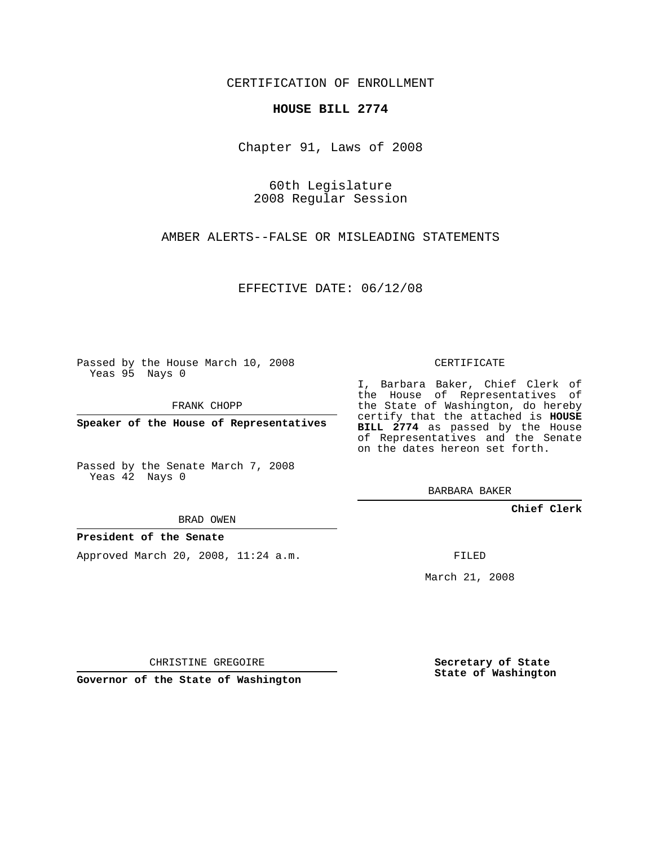CERTIFICATION OF ENROLLMENT

## **HOUSE BILL 2774**

Chapter 91, Laws of 2008

60th Legislature 2008 Regular Session

AMBER ALERTS--FALSE OR MISLEADING STATEMENTS

EFFECTIVE DATE: 06/12/08

Passed by the House March 10, 2008 Yeas 95 Nays 0

FRANK CHOPP

**Speaker of the House of Representatives**

Passed by the Senate March 7, 2008 Yeas 42 Nays 0

BRAD OWEN

### **President of the Senate**

Approved March 20, 2008, 11:24 a.m.

CERTIFICATE

I, Barbara Baker, Chief Clerk of the House of Representatives of the State of Washington, do hereby certify that the attached is **HOUSE BILL 2774** as passed by the House of Representatives and the Senate on the dates hereon set forth.

BARBARA BAKER

**Chief Clerk**

FILED

March 21, 2008

CHRISTINE GREGOIRE

**Governor of the State of Washington**

**Secretary of State State of Washington**